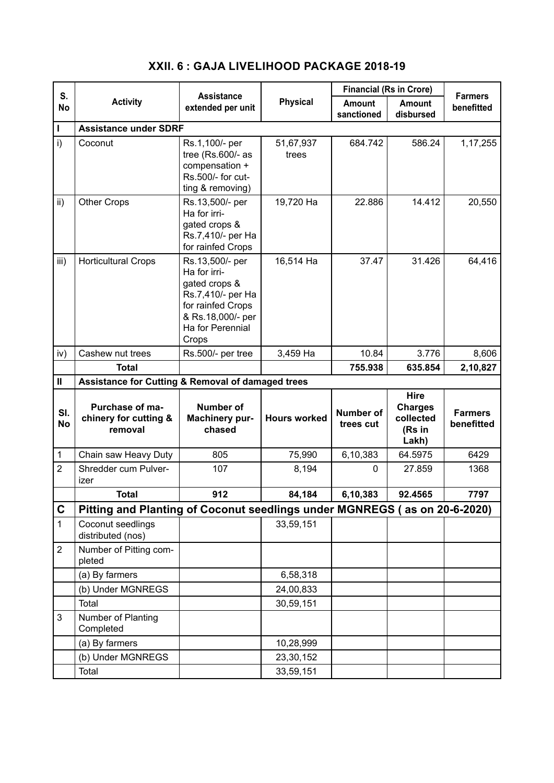| S.<br><b>No</b>   | <b>Activity</b>                                                           | <b>Assistance</b><br>extended per unit                                                                                                       | <b>Physical</b>     | <b>Financial (Rs in Crore)</b> |                                                               | <b>Farmers</b>               |  |  |
|-------------------|---------------------------------------------------------------------------|----------------------------------------------------------------------------------------------------------------------------------------------|---------------------|--------------------------------|---------------------------------------------------------------|------------------------------|--|--|
|                   |                                                                           |                                                                                                                                              |                     | <b>Amount</b><br>sanctioned    | <b>Amount</b><br>disbursed                                    | benefitted                   |  |  |
| L                 | <b>Assistance under SDRF</b>                                              |                                                                                                                                              |                     |                                |                                                               |                              |  |  |
| i)                | Coconut                                                                   | Rs.1,100/- per<br>tree (Rs.600/- as<br>compensation +<br>Rs.500/- for cut-<br>ting & removing)                                               | 51,67,937<br>trees  | 684.742                        | 586.24                                                        | 1, 17, 255                   |  |  |
| $\mathsf{ii}$ )   | <b>Other Crops</b>                                                        | Rs.13,500/- per<br>Ha for irri-<br>gated crops &<br>Rs.7,410/- per Ha<br>for rainfed Crops                                                   | 19,720 Ha           | 22.886                         | 14.412                                                        | 20,550                       |  |  |
| iii)              | <b>Horticultural Crops</b>                                                | Rs.13,500/- per<br>Ha for irri-<br>gated crops &<br>Rs.7,410/- per Ha<br>for rainfed Crops<br>& Rs.18,000/- per<br>Ha for Perennial<br>Crops | 16,514 Ha           | 37.47                          | 31.426                                                        | 64,416                       |  |  |
| iv)               | Cashew nut trees                                                          | Rs.500/- per tree                                                                                                                            | 3,459 Ha            | 10.84                          | 3.776                                                         | 8,606                        |  |  |
|                   | <b>Total</b>                                                              |                                                                                                                                              |                     | 755.938                        | 635.854                                                       | 2,10,827                     |  |  |
| $\pmb{\parallel}$ | Assistance for Cutting & Removal of damaged trees                         |                                                                                                                                              |                     |                                |                                                               |                              |  |  |
| SI.<br><b>No</b>  | Purchase of ma-<br>chinery for cutting &<br>removal                       | <b>Number of</b><br>Machinery pur-<br>chased                                                                                                 | <b>Hours worked</b> | <b>Number of</b><br>trees cut  | <b>Hire</b><br><b>Charges</b><br>collected<br>(Rs in<br>Lakh) | <b>Farmers</b><br>benefitted |  |  |
| 1                 | Chain saw Heavy Duty                                                      | 805                                                                                                                                          | 75,990              | 6,10,383                       | 64.5975                                                       | 6429                         |  |  |
| $\overline{2}$    | Shredder cum Pulver-<br>izer                                              | 107                                                                                                                                          | 8,194               | 0                              | 27.859                                                        | 1368                         |  |  |
|                   | <b>Total</b>                                                              | 912                                                                                                                                          | 84,184              | 6,10,383                       | 92.4565                                                       | 7797                         |  |  |
| $\mathbf C$       | Pitting and Planting of Coconut seedlings under MGNREGS (as on 20-6-2020) |                                                                                                                                              |                     |                                |                                                               |                              |  |  |
| $\mathbf{1}$      | Coconut seedlings<br>distributed (nos)                                    |                                                                                                                                              | 33,59,151           |                                |                                                               |                              |  |  |
| $\overline{2}$    | Number of Pitting com-<br>pleted                                          |                                                                                                                                              |                     |                                |                                                               |                              |  |  |
|                   | (a) By farmers                                                            |                                                                                                                                              | 6,58,318            |                                |                                                               |                              |  |  |
|                   | (b) Under MGNREGS                                                         |                                                                                                                                              | 24,00,833           |                                |                                                               |                              |  |  |
|                   | Total                                                                     |                                                                                                                                              | 30,59,151           |                                |                                                               |                              |  |  |
| 3                 | Number of Planting<br>Completed                                           |                                                                                                                                              |                     |                                |                                                               |                              |  |  |
|                   | (a) By farmers                                                            |                                                                                                                                              | 10,28,999           |                                |                                                               |                              |  |  |
|                   | (b) Under MGNREGS                                                         |                                                                                                                                              | 23,30,152           |                                |                                                               |                              |  |  |
|                   | Total                                                                     |                                                                                                                                              | 33,59,151           |                                |                                                               |                              |  |  |

## **XXII. 6 : GAJA LIVELIHOOD PACKAGE 2018-19**